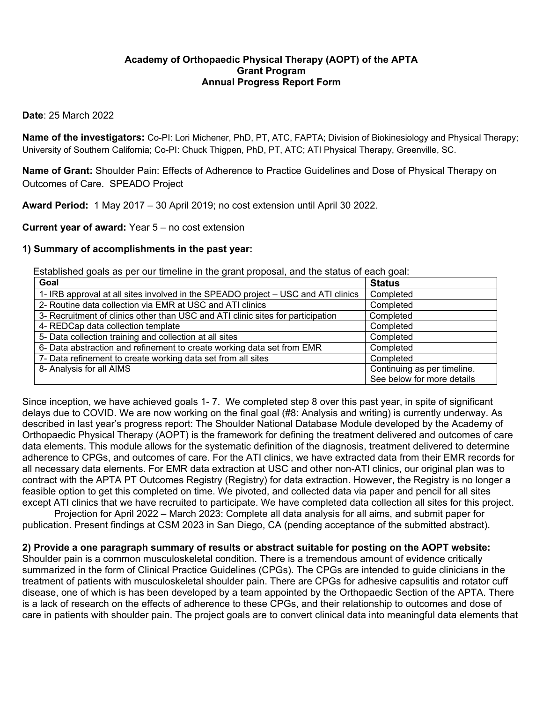## **Academy of Orthopaedic Physical Therapy (AOPT) of the APTA Grant Program Annual Progress Report Form**

### **Date**: 25 March 2022

**Name of the investigators:** Co-PI: Lori Michener, PhD, PT, ATC, FAPTA; Division of Biokinesiology and Physical Therapy; University of Southern California; Co-PI: Chuck Thigpen, PhD, PT, ATC; ATI Physical Therapy, Greenville, SC.

**Name of Grant:** Shoulder Pain: Effects of Adherence to Practice Guidelines and Dose of Physical Therapy on Outcomes of Care. SPEADO Project

**Award Period:** 1 May 2017 – 30 April 2019; no cost extension until April 30 2022.

### **Current year of award:** Year 5 – no cost extension

### **1) Summary of accomplishments in the past year:**

Established goals as per our timeline in the grant proposal, and the status of each goal:

| Goal                                                                              | <b>Status</b>               |
|-----------------------------------------------------------------------------------|-----------------------------|
| 1- IRB approval at all sites involved in the SPEADO project – USC and ATI clinics | Completed                   |
| 2- Routine data collection via EMR at USC and ATI clinics                         | Completed                   |
| 3- Recruitment of clinics other than USC and ATI clinic sites for participation   | Completed                   |
| 4- REDCap data collection template                                                | Completed                   |
| 5- Data collection training and collection at all sites                           | Completed                   |
| 6- Data abstraction and refinement to create working data set from EMR            | Completed                   |
| 7- Data refinement to create working data set from all sites                      | Completed                   |
| 8- Analysis for all AIMS                                                          | Continuing as per timeline. |
|                                                                                   | See below for more details  |

Since inception, we have achieved goals 1- 7. We completed step 8 over this past year, in spite of significant delays due to COVID. We are now working on the final goal (#8: Analysis and writing) is currently underway. As described in last year's progress report: The Shoulder National Database Module developed by the Academy of Orthopaedic Physical Therapy (AOPT) is the framework for defining the treatment delivered and outcomes of care data elements. This module allows for the systematic definition of the diagnosis, treatment delivered to determine adherence to CPGs, and outcomes of care. For the ATI clinics, we have extracted data from their EMR records for all necessary data elements. For EMR data extraction at USC and other non-ATI clinics, our original plan was to contract with the APTA PT Outcomes Registry (Registry) for data extraction. However, the Registry is no longer a feasible option to get this completed on time. We pivoted, and collected data via paper and pencil for all sites except ATI clinics that we have recruited to participate. We have completed data collection all sites for this project.

Projection for April 2022 – March 2023: Complete all data analysis for all aims, and submit paper for publication. Present findings at CSM 2023 in San Diego, CA (pending acceptance of the submitted abstract).

**2) Provide a one paragraph summary of results or abstract suitable for posting on the AOPT website:** 

Shoulder pain is a common musculoskeletal condition. There is a tremendous amount of evidence critically summarized in the form of Clinical Practice Guidelines (CPGs). The CPGs are intended to guide clinicians in the treatment of patients with musculoskeletal shoulder pain. There are CPGs for adhesive capsulitis and rotator cuff disease, one of which is has been developed by a team appointed by the Orthopaedic Section of the APTA. There is a lack of research on the effects of adherence to these CPGs, and their relationship to outcomes and dose of care in patients with shoulder pain. The project goals are to convert clinical data into meaningful data elements that